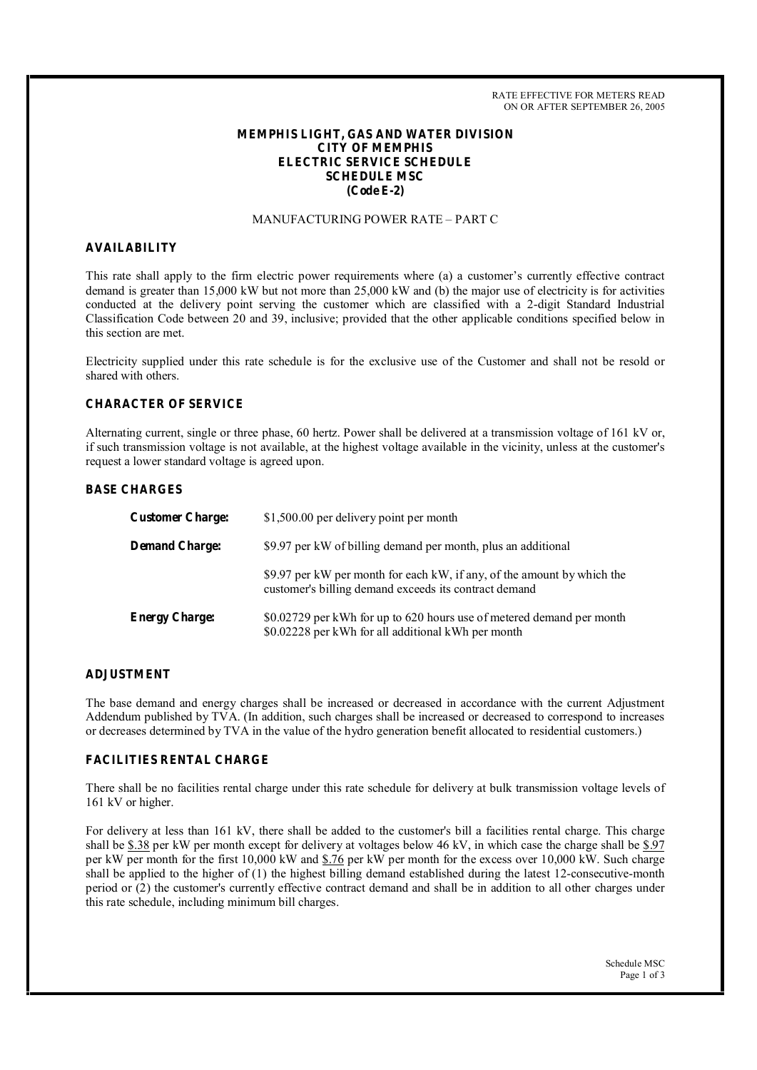RATE EFFECTIVE FOR METERS READ ON OR AFTER SEPTEMBER 26, 2005

# **MEMPHIS LIGHT, GAS AND WATER DIVISION CITY OF MEMPHIS ELECTRIC SERVICE SCHEDULE SCHEDULE MSC (Code E-2)**

## MANUFACTURING POWER RATE – PART C

#### **AVAILABILITY**

This rate shall apply to the firm electric power requirements where (a) a customer's currently effective contract demand is greater than 15,000 kW but not more than 25,000 kW and (b) the major use of electricity is for activities conducted at the delivery point serving the customer which are classified with a 2-digit Standard Industrial Classification Code between 20 and 39, inclusive; provided that the other applicable conditions specified below in this section are met.

Electricity supplied under this rate schedule is for the exclusive use of the Customer and shall not be resold or shared with others.

### **CHARACTER OF SERVICE**

Alternating current, single or three phase, 60 hertz. Power shall be delivered at a transmission voltage of 161 kV or, if such transmission voltage is not available, at the highest voltage available in the vicinity, unless at the customer's request a lower standard voltage is agreed upon.

#### **BASE CHARGES**

| <b>Customer Charge:</b> | \$1,500.00 per delivery point per month                                                                                          |
|-------------------------|----------------------------------------------------------------------------------------------------------------------------------|
| <b>Demand Charge:</b>   | \$9.97 per kW of billing demand per month, plus an additional                                                                    |
|                         | \$9.97 per kW per month for each kW, if any, of the amount by which the<br>customer's billing demand exceeds its contract demand |
| <b>Energy Charge:</b>   | \$0.02729 per kWh for up to 620 hours use of metered demand per month<br>\$0.02228 per kWh for all additional kWh per month      |

### **ADJUSTMENT**

The base demand and energy charges shall be increased or decreased in accordance with the current Adjustment Addendum published by TVA. (In addition, such charges shall be increased or decreased to correspond to increases or decreases determined by TVA in the value of the hydro generation benefit allocated to residential customers.)

## **FACILITIES RENTAL CHARGE**

There shall be no facilities rental charge under this rate schedule for delivery at bulk transmission voltage levels of 161 kV or higher.

For delivery at less than 161 kV, there shall be added to the customer's bill a facilities rental charge. This charge shall be \$.38 per kW per month except for delivery at voltages below 46 kV, in which case the charge shall be \$.97 per kW per month for the first 10,000 kW and \$.76 per kW per month for the excess over 10,000 kW. Such charge shall be applied to the higher of (1) the highest billing demand established during the latest 12-consecutive-month period or (2) the customer's currently effective contract demand and shall be in addition to all other charges under this rate schedule, including minimum bill charges.

> Schedule MSC Page 1 of 3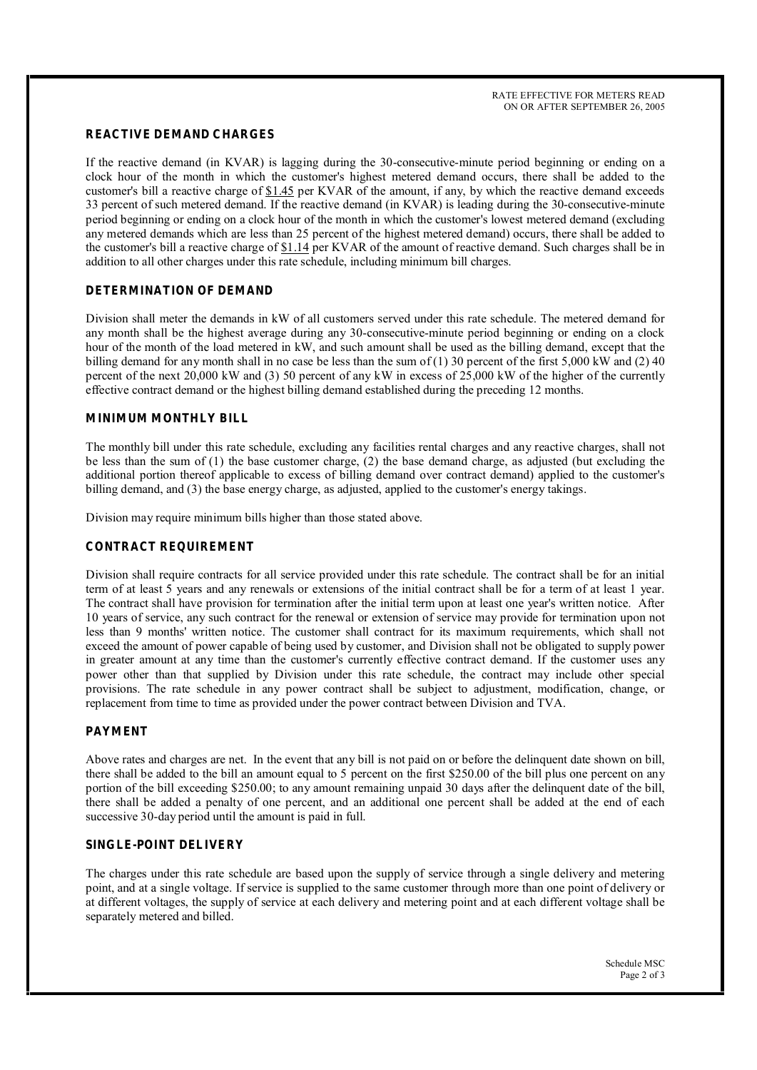# **REACTIVE DEMAND CHARGES**

If the reactive demand (in KVAR) is lagging during the 30-consecutive-minute period beginning or ending on a clock hour of the month in which the customer's highest metered demand occurs, there shall be added to the customer's bill a reactive charge of \$1.45 per KVAR of the amount, if any, by which the reactive demand exceeds 33 percent of such metered demand. If the reactive demand (in KVAR) is leading during the 30-consecutive-minute period beginning or ending on a clock hour of the month in which the customer's lowest metered demand (excluding any metered demands which are less than 25 percent of the highest metered demand) occurs, there shall be added to the customer's bill a reactive charge of  $$1.14$  per KVAR of the amount of reactive demand. Such charges shall be in addition to all other charges under this rate schedule, including minimum bill charges.

## **DETERMINATION OF DEMAND**

Division shall meter the demands in kW of all customers served under this rate schedule. The metered demand for any month shall be the highest average during any 30-consecutive-minute period beginning or ending on a clock hour of the month of the load metered in kW, and such amount shall be used as the billing demand, except that the billing demand for any month shall in no case be less than the sum of (1) 30 percent of the first 5,000 kW and (2) 40 percent of the next 20,000 kW and (3) 50 percent of any kW in excess of 25,000 kW of the higher of the currently effective contract demand or the highest billing demand established during the preceding 12 months.

## **MINIMUM MONTHLY BILL**

The monthly bill under this rate schedule, excluding any facilities rental charges and any reactive charges, shall not be less than the sum of (1) the base customer charge, (2) the base demand charge, as adjusted (but excluding the additional portion thereof applicable to excess of billing demand over contract demand) applied to the customer's billing demand, and (3) the base energy charge, as adjusted, applied to the customer's energy takings.

Division may require minimum bills higher than those stated above.

#### **CONTRACT REQUIREMENT**

Division shall require contracts for all service provided under this rate schedule. The contract shall be for an initial term of at least 5 years and any renewals or extensions of the initial contract shall be for a term of at least 1 year. The contract shall have provision for termination after the initial term upon at least one year's written notice. After 10 years of service, any such contract for the renewal or extension of service may provide for termination upon not less than 9 months' written notice. The customer shall contract for its maximum requirements, which shall not exceed the amount of power capable of being used by customer, and Division shall not be obligated to supply power in greater amount at any time than the customer's currently effective contract demand. If the customer uses any power other than that supplied by Division under this rate schedule, the contract may include other special provisions. The rate schedule in any power contract shall be subject to adjustment, modification, change, or replacement from time to time as provided under the power contract between Division and TVA.

## **PAYMENT**

Above rates and charges are net. In the event that any bill is not paid on or before the delinquent date shown on bill, there shall be added to the bill an amount equal to 5 percent on the first \$250.00 of the bill plus one percent on any portion of the bill exceeding \$250.00; to any amount remaining unpaid 30 days after the delinquent date of the bill, there shall be added a penalty of one percent, and an additional one percent shall be added at the end of each successive 30-day period until the amount is paid in full.

## **SINGLE-POINT DELIVERY**

The charges under this rate schedule are based upon the supply of service through a single delivery and metering point, and at a single voltage. If service is supplied to the same customer through more than one point of delivery or at different voltages, the supply of service at each delivery and metering point and at each different voltage shall be separately metered and billed.